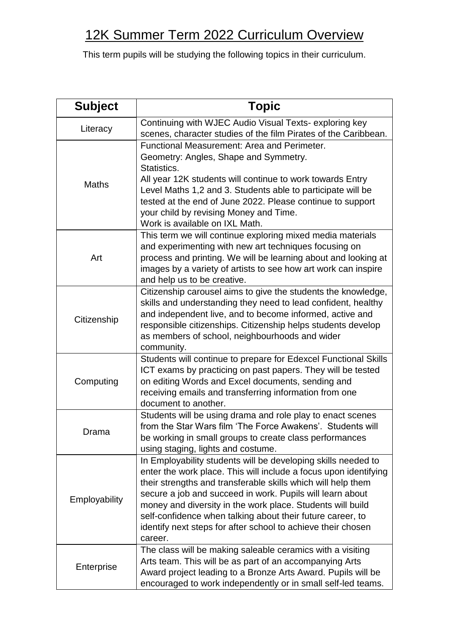## 12K Summer Term 2022 Curriculum Overview

This term pupils will be studying the following topics in their curriculum.

| <b>Subject</b> | <b>Topic</b>                                                                                                                                                                                                                                                                                                                                                                                                                                                          |
|----------------|-----------------------------------------------------------------------------------------------------------------------------------------------------------------------------------------------------------------------------------------------------------------------------------------------------------------------------------------------------------------------------------------------------------------------------------------------------------------------|
| Literacy       | Continuing with WJEC Audio Visual Texts-exploring key<br>scenes, character studies of the film Pirates of the Caribbean.                                                                                                                                                                                                                                                                                                                                              |
| <b>Maths</b>   | Functional Measurement: Area and Perimeter.<br>Geometry: Angles, Shape and Symmetry.<br>Statistics.<br>All year 12K students will continue to work towards Entry<br>Level Maths 1,2 and 3. Students able to participate will be<br>tested at the end of June 2022. Please continue to support<br>your child by revising Money and Time.<br>Work is available on IXL Math.                                                                                             |
| Art            | This term we will continue exploring mixed media materials<br>and experimenting with new art techniques focusing on<br>process and printing. We will be learning about and looking at<br>images by a variety of artists to see how art work can inspire<br>and help us to be creative.                                                                                                                                                                                |
| Citizenship    | Citizenship carousel aims to give the students the knowledge,<br>skills and understanding they need to lead confident, healthy<br>and independent live, and to become informed, active and<br>responsible citizenships. Citizenship helps students develop<br>as members of school, neighbourhoods and wider<br>community.                                                                                                                                            |
| Computing      | Students will continue to prepare for Edexcel Functional Skills<br>ICT exams by practicing on past papers. They will be tested<br>on editing Words and Excel documents, sending and<br>receiving emails and transferring information from one<br>document to another.                                                                                                                                                                                                 |
| Drama          | Students will be using drama and role play to enact scenes<br>from the Star Wars film 'The Force Awakens'. Students will<br>be working in small groups to create class performances<br>using staging, lights and costume.                                                                                                                                                                                                                                             |
| Employability  | In Employability students will be developing skills needed to<br>enter the work place. This will include a focus upon identifying<br>their strengths and transferable skills which will help them<br>secure a job and succeed in work. Pupils will learn about<br>money and diversity in the work place. Students will build<br>self-confidence when talking about their future career, to<br>identify next steps for after school to achieve their chosen<br>career. |
| Enterprise     | The class will be making saleable ceramics with a visiting<br>Arts team. This will be as part of an accompanying Arts<br>Award project leading to a Bronze Arts Award. Pupils will be<br>encouraged to work independently or in small self-led teams.                                                                                                                                                                                                                 |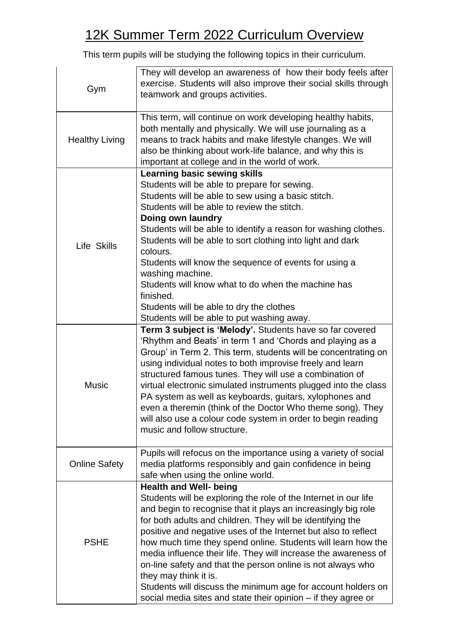## 12K Summer Term 2022 Curriculum Overview

This term pupils will be studying the following topics in their curriculum.

| Gym                   | They will develop an awareness of how their body feels after<br>exercise. Students will also improve their social skills through<br>teamwork and groups activities.                                                                                                                                                                                                                                                                                                                                                                                                                                                                                           |
|-----------------------|---------------------------------------------------------------------------------------------------------------------------------------------------------------------------------------------------------------------------------------------------------------------------------------------------------------------------------------------------------------------------------------------------------------------------------------------------------------------------------------------------------------------------------------------------------------------------------------------------------------------------------------------------------------|
| <b>Healthy Living</b> | This term, will continue on work developing healthy habits,<br>both mentally and physically. We will use journaling as a<br>means to track habits and make lifestyle changes. We will<br>also be thinking about work-life balance, and why this is<br>important at college and in the world of work.                                                                                                                                                                                                                                                                                                                                                          |
| Life Skills           | <b>Learning basic sewing skills</b><br>Students will be able to prepare for sewing.<br>Students will be able to sew using a basic stitch.<br>Students will be able to review the stitch.<br>Doing own laundry<br>Students will be able to identify a reason for washing clothes.<br>Students will be able to sort clothing into light and dark<br>colours.<br>Students will know the sequence of events for using a<br>washing machine.<br>Students will know what to do when the machine has<br>finished.<br>Students will be able to dry the clothes<br>Students will be able to put washing away.                                                          |
| <b>Music</b>          | Term 3 subject is 'Melody'. Students have so far covered<br>'Rhythm and Beats' in term 1 and 'Chords and playing as a<br>Group' in Term 2. This term, students will be concentrating on<br>using individual notes to both improvise freely and learn<br>structured famous tunes. They will use a combination of<br>virtual electronic simulated instruments plugged into the class<br>PA system as well as keyboards, guitars, xylophones and<br>even a theremin (think of the Doctor Who theme song). They<br>will also use a colour code system in order to begin reading<br>music and follow structure.                                                    |
| <b>Online Safety</b>  | Pupils will refocus on the importance using a variety of social<br>media platforms responsibly and gain confidence in being<br>safe when using the online world.                                                                                                                                                                                                                                                                                                                                                                                                                                                                                              |
| <b>PSHE</b>           | <b>Health and Well- being</b><br>Students will be exploring the role of the Internet in our life<br>and begin to recognise that it plays an increasingly big role<br>for both adults and children. They will be identifying the<br>positive and negative uses of the Internet but also to reflect<br>how much time they spend online. Students will learn how the<br>media influence their life. They will increase the awareness of<br>on-line safety and that the person online is not always who<br>they may think it is.<br>Students will discuss the minimum age for account holders on<br>social media sites and state their opinion - if they agree or |